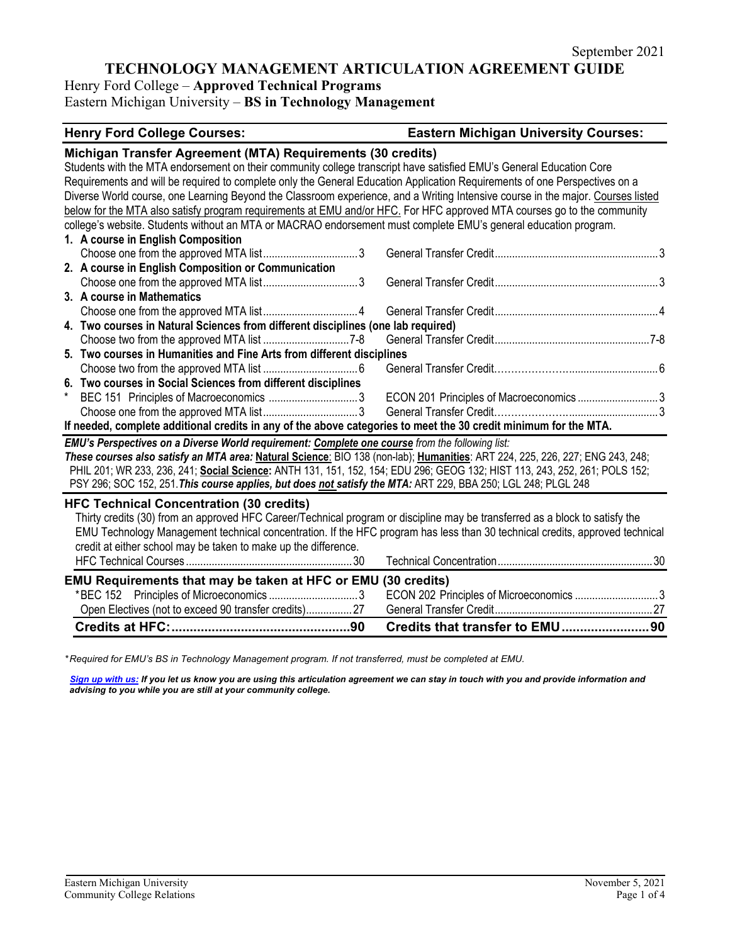# Henry Ford College – **Approved Technical Programs**

Eastern Michigan University – **BS in Technology Management**

## **Henry Ford College Courses: Eastern Michigan University Courses:**

|                                                                                                                            | Michigan Transfer Agreement (MTA) Requirements (30 credits)                                                                     |                                                                                                                              |  |  |  |  |
|----------------------------------------------------------------------------------------------------------------------------|---------------------------------------------------------------------------------------------------------------------------------|------------------------------------------------------------------------------------------------------------------------------|--|--|--|--|
|                                                                                                                            | Students with the MTA endorsement on their community college transcript have satisfied EMU's General Education Core             |                                                                                                                              |  |  |  |  |
|                                                                                                                            | Requirements and will be required to complete only the General Education Application Requirements of one Perspectives on a      |                                                                                                                              |  |  |  |  |
|                                                                                                                            | Diverse World course, one Learning Beyond the Classroom experience, and a Writing Intensive course in the major. Courses listed |                                                                                                                              |  |  |  |  |
|                                                                                                                            | below for the MTA also satisfy program requirements at EMU and/or HFC. For HFC approved MTA courses go to the community         |                                                                                                                              |  |  |  |  |
|                                                                                                                            | college's website. Students without an MTA or MACRAO endorsement must complete EMU's general education program.                 |                                                                                                                              |  |  |  |  |
|                                                                                                                            | 1. A course in English Composition                                                                                              |                                                                                                                              |  |  |  |  |
|                                                                                                                            |                                                                                                                                 |                                                                                                                              |  |  |  |  |
|                                                                                                                            | 2. A course in English Composition or Communication                                                                             |                                                                                                                              |  |  |  |  |
|                                                                                                                            |                                                                                                                                 |                                                                                                                              |  |  |  |  |
|                                                                                                                            | 3. A course in Mathematics                                                                                                      |                                                                                                                              |  |  |  |  |
|                                                                                                                            |                                                                                                                                 |                                                                                                                              |  |  |  |  |
|                                                                                                                            | 4. Two courses in Natural Sciences from different disciplines (one lab required)                                                |                                                                                                                              |  |  |  |  |
|                                                                                                                            |                                                                                                                                 |                                                                                                                              |  |  |  |  |
|                                                                                                                            | 5. Two courses in Humanities and Fine Arts from different disciplines                                                           |                                                                                                                              |  |  |  |  |
|                                                                                                                            |                                                                                                                                 |                                                                                                                              |  |  |  |  |
|                                                                                                                            | 6. Two courses in Social Sciences from different disciplines                                                                    |                                                                                                                              |  |  |  |  |
|                                                                                                                            |                                                                                                                                 |                                                                                                                              |  |  |  |  |
|                                                                                                                            |                                                                                                                                 |                                                                                                                              |  |  |  |  |
|                                                                                                                            | If needed, complete additional credits in any of the above categories to meet the 30 credit minimum for the MTA.                |                                                                                                                              |  |  |  |  |
|                                                                                                                            | EMU's Perspectives on a Diverse World requirement: Complete one course from the following list:                                 |                                                                                                                              |  |  |  |  |
|                                                                                                                            | These courses also satisfy an MTA area: Natural Science: BIO 138 (non-lab); Humanities: ART 224, 225, 226, 227; ENG 243, 248;   |                                                                                                                              |  |  |  |  |
| PHIL 201; WR 233, 236, 241; Social Science: ANTH 131, 151, 152, 154; EDU 296; GEOG 132; HIST 113, 243, 252, 261; POLS 152; |                                                                                                                                 |                                                                                                                              |  |  |  |  |
|                                                                                                                            | PSY 296; SOC 152, 251. This course applies, but does not satisfy the MTA: ART 229, BBA 250; LGL 248; PLGL 248                   |                                                                                                                              |  |  |  |  |
|                                                                                                                            | <b>HFC Technical Concentration (30 credits)</b>                                                                                 |                                                                                                                              |  |  |  |  |
|                                                                                                                            | Thirty credits (30) from an approved HFC Career/Technical program or discipline may be transferred as a block to satisfy the    |                                                                                                                              |  |  |  |  |
|                                                                                                                            |                                                                                                                                 | EMU Technology Management technical concentration. If the HFC program has less than 30 technical credits, approved technical |  |  |  |  |
|                                                                                                                            | credit at either school may be taken to make up the difference.                                                                 |                                                                                                                              |  |  |  |  |
|                                                                                                                            |                                                                                                                                 |                                                                                                                              |  |  |  |  |
|                                                                                                                            | EMU Requirements that may be taken at HFC or EMU (30 credits)                                                                   |                                                                                                                              |  |  |  |  |
|                                                                                                                            | *BEC 152 Principles of Microeconomics 3                                                                                         | ECON 202 Principles of Microeconomics 3                                                                                      |  |  |  |  |
|                                                                                                                            |                                                                                                                                 |                                                                                                                              |  |  |  |  |
|                                                                                                                            |                                                                                                                                 | Credits that transfer to EMU90                                                                                               |  |  |  |  |

*\* Required for EMU's BS in Technology Management program. If not transferred, must be completed at EMU.* 

*[Sign up with us:](https://www.emich.edu/ccr/articulation-agreements/signup.php) If you let us know you are using this articulation agreement we can stay in touch with you and provide information and advising to you while you are still at your community college.*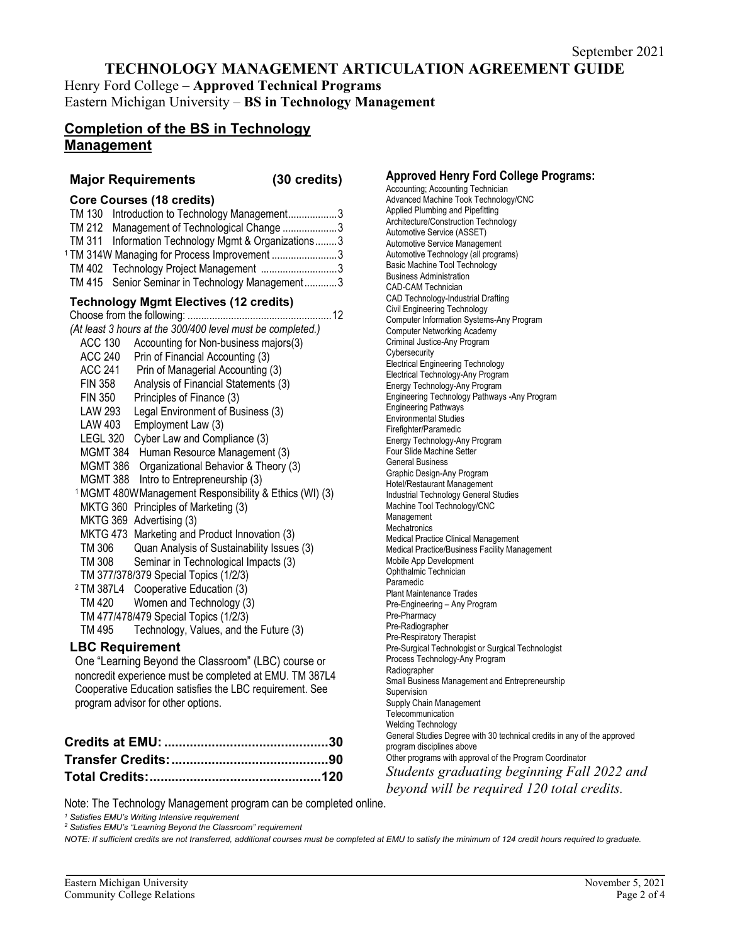Henry Ford College – **Approved Technical Programs** Eastern Michigan University – **BS in Technology Management**

# **Completion of the BS in Technology Management**

### **Major Requirements (30 credits)**

#### **Core Courses (18 credits)**

| TM 130 Introduction to Technology Management3           |  |
|---------------------------------------------------------|--|
| TM 212 Management of Technological Change 3             |  |
| TM 311 Information Technology Mgmt & Organizations3     |  |
| <sup>1</sup> TM 314W Managing for Process Improvement 3 |  |
| TM 402 Technology Project Management 3                  |  |
| TM 415 Senior Seminar in Technology Management3         |  |

### **Technology Mgmt Electives (12 credits)**

| (At least 3 hours at the 300/400 level must be completed.)         |                                                 |  |  |  |
|--------------------------------------------------------------------|-------------------------------------------------|--|--|--|
| ACC 130                                                            | Accounting for Non-business majors(3)           |  |  |  |
| ACC 240                                                            | Prin of Financial Accounting (3)                |  |  |  |
| <b>ACC 241</b>                                                     | Prin of Managerial Accounting (3)               |  |  |  |
| <b>FIN 358</b>                                                     | Analysis of Financial Statements (3)            |  |  |  |
| <b>FIN 350</b>                                                     | Principles of Finance (3)                       |  |  |  |
| LAW 293                                                            | Legal Environment of Business (3)               |  |  |  |
| <b>LAW 403</b>                                                     | Employment Law (3)                              |  |  |  |
| LEGL 320                                                           | Cyber Law and Compliance (3)                    |  |  |  |
|                                                                    | MGMT 384 Human Resource Management (3)          |  |  |  |
| MGMT 386                                                           | Organizational Behavior & Theory (3)            |  |  |  |
|                                                                    | MGMT 388 Intro to Entrepreneurship (3)          |  |  |  |
| <sup>1</sup> MGMT 480W Management Responsibility & Ethics (WI) (3) |                                                 |  |  |  |
| MKTG 360                                                           | Principles of Marketing (3)                     |  |  |  |
| MKTG 369                                                           | Advertising (3)                                 |  |  |  |
| MKTG 473                                                           | Marketing and Product Innovation (3)            |  |  |  |
| TM 306                                                             | Quan Analysis of Sustainability Issues (3)      |  |  |  |
| TM 308                                                             | Seminar in Technological Impacts (3)            |  |  |  |
|                                                                    | TM 377/378/379 Special Topics (1/2/3)           |  |  |  |
|                                                                    | <sup>2</sup> TM 387L4 Cooperative Education (3) |  |  |  |
|                                                                    | TM 420 Women and Technology (3)                 |  |  |  |
| TM 477/478/479 Special Topics (1/2/3)                              |                                                 |  |  |  |
| TM 495                                                             | Technology, Values, and the Future (3)          |  |  |  |
| <b>LBC Requirement</b>                                             |                                                 |  |  |  |
| One "Learning Beyond the Classroom" (LBC) course or                |                                                 |  |  |  |
| noncredit experience must be completed at EMU. TM 387L4            |                                                 |  |  |  |
| Cooperative Education satisfies the LBC requirement. See           |                                                 |  |  |  |

program advisor for other options.

**Approved Henry Ford College Programs:**

Accounting; Accounting Technician Advanced Machine Took Technology/CNC Applied Plumbing and Pipefitting Architecture/Construction Technology Automotive Service (ASSET) Automotive Service Management Automotive Technology (all programs) Basic Machine Tool Technology Business Administration CAD-CAM Technician CAD Technology-Industrial Drafting Civil Engineering Technology Computer Information Systems-Any Program Computer Networking Academy Criminal Justice-Any Program **Cybersecurity** Electrical Engineering Technology Electrical Technology-Any Program Energy Technology-Any Program Engineering Technology Pathways -Any Program Engineering Pathways Environmental Studies Firefighter/Paramedic Energy Technology-Any Program Four Slide Machine Setter General Business Graphic Design-Any Program Hotel/Restaurant Management Industrial Technology General Studies Machine Tool Technology/CNC Management Mechatronics Medical Practice Clinical Management Medical Practice/Business Facility Management Mobile App Development Ophthalmic Technician Paramedic Plant Maintenance Trades Pre-Engineering – Any Program Pre-Pharmacy Pre-Radiographer Pre-Respiratory Therapist Pre-Surgical Technologist or Surgical Technologist Process Technology-Any Program Radiographer Small Business Management and Entrepreneurship Supervision Supply Chain Management **Telecommunication** Welding Technology General Studies Degree with 30 technical credits in any of the approved program disciplines above Other programs with approval of the Program Coordinator *Students graduating beginning Fall 2022 and beyond will be required 120 total credits.*

Note: The Technology Management program can be completed online.

*<sup>1</sup> Satisfies EMU's Writing Intensive requirement*

*<sup>2</sup> Satisfies EMU's "Learning Beyond the Classroom" requirement*

*NOTE: If sufficient credits are not transferred, additional courses must be completed at EMU to satisfy the minimum of 124 credit hours required to graduate.*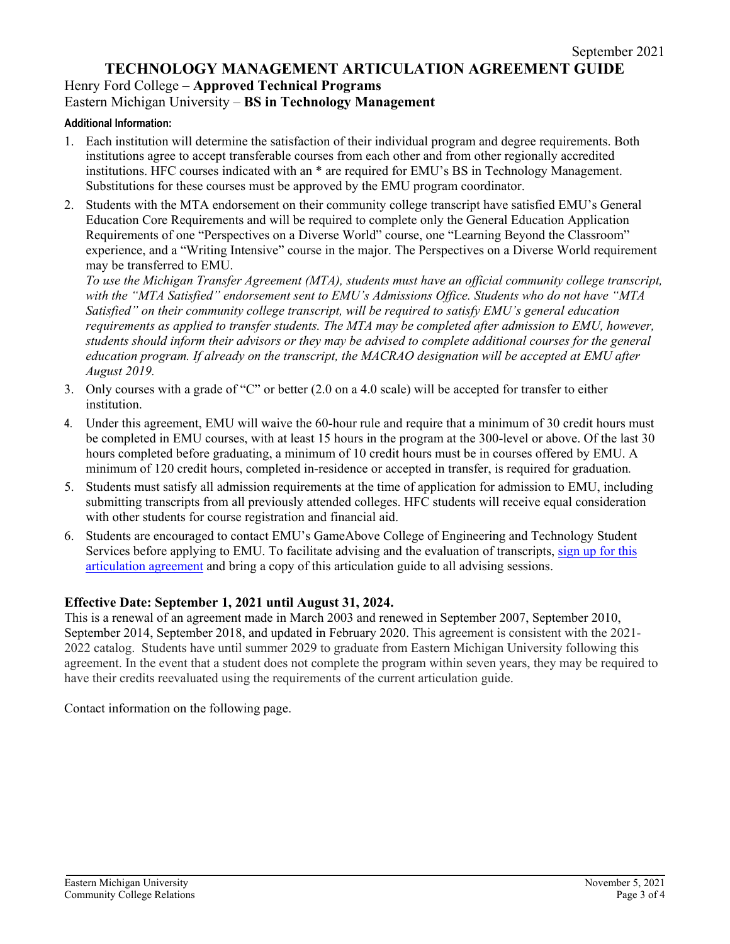# Henry Ford College – **Approved Technical Programs**

# Eastern Michigan University – **BS in Technology Management**

## **Additional Information:**

- 1. Each institution will determine the satisfaction of their individual program and degree requirements. Both institutions agree to accept transferable courses from each other and from other regionally accredited institutions. HFC courses indicated with an \* are required for EMU's BS in Technology Management. Substitutions for these courses must be approved by the EMU program coordinator.
- 2. Students with the MTA endorsement on their community college transcript have satisfied EMU's General Education Core Requirements and will be required to complete only the General Education Application Requirements of one "Perspectives on a Diverse World" course, one "Learning Beyond the Classroom" experience, and a "Writing Intensive" course in the major. The Perspectives on a Diverse World requirement may be transferred to EMU.

*To use the Michigan Transfer Agreement (MTA), students must have an official community college transcript, with the "MTA Satisfied" endorsement sent to EMU's Admissions Office. Students who do not have "MTA Satisfied" on their community college transcript, will be required to satisfy EMU's general education requirements as applied to transfer students. The MTA may be completed after admission to EMU, however, students should inform their advisors or they may be advised to complete additional courses for the general education program. If already on the transcript, the MACRAO designation will be accepted at EMU after August 2019.*

- 3. Only courses with a grade of "C" or better (2.0 on a 4.0 scale) will be accepted for transfer to either institution.
- 4. Under this agreement, EMU will waive the 60-hour rule and require that a minimum of 30 credit hours must be completed in EMU courses, with at least 15 hours in the program at the 300-level or above. Of the last 30 hours completed before graduating, a minimum of 10 credit hours must be in courses offered by EMU. A minimum of 120 credit hours, completed in-residence or accepted in transfer, is required for graduation.
- 5. Students must satisfy all admission requirements at the time of application for admission to EMU, including submitting transcripts from all previously attended colleges. HFC students will receive equal consideration with other students for course registration and financial aid.
- 6. Students are encouraged to contact EMU's GameAbove College of Engineering and Technology Student Services before applying to EMU. To facilitate advising and the evaluation of transcripts, [sign up for this](https://www.emich.edu/ccr/articulation-agreements/signup.php)  [articulation agreement](https://www.emich.edu/ccr/articulation-agreements/signup.php) and bring a copy of this articulation guide to all advising sessions.

# **Effective Date: September 1, 2021 until August 31, 2024.**

This is a renewal of an agreement made in March 2003 and renewed in September 2007, September 2010, September 2014, September 2018, and updated in February 2020. This agreement is consistent with the 2021- 2022 catalog. Students have until summer 2029 to graduate from Eastern Michigan University following this agreement. In the event that a student does not complete the program within seven years, they may be required to have their credits reevaluated using the requirements of the current articulation guide.

Contact information on the following page.